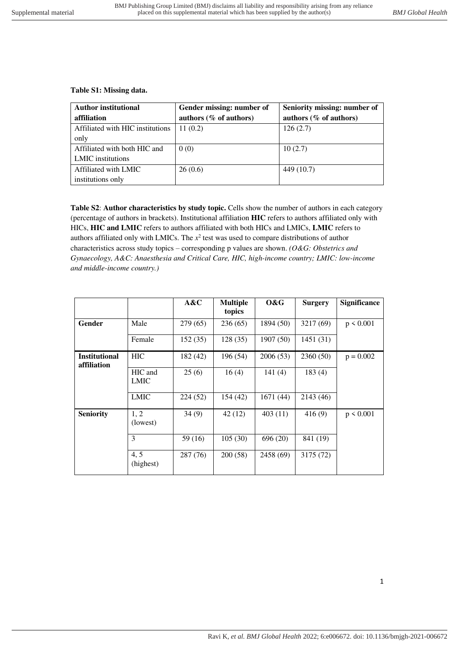## **Table S1: Missing data.**

| <b>Author institutional</b>      | Gender missing: number of | Seniority missing: number of |  |  |
|----------------------------------|---------------------------|------------------------------|--|--|
| affiliation                      | authors (% of authors)    | authors (% of authors)       |  |  |
| Affiliated with HIC institutions | 11(0.2)                   | 126(2.7)                     |  |  |
| only                             |                           |                              |  |  |
| Affiliated with both HIC and     | 0(0)                      | 10(2.7)                      |  |  |
| <b>LMIC</b> institutions         |                           |                              |  |  |
| Affiliated with LMIC             | 26(0.6)                   | 449 (10.7)                   |  |  |
| institutions only                |                           |                              |  |  |

**Table S2**: **Author characteristics by study topic.** Cells show the number of authors in each category (percentage of authors in brackets). Institutional affiliation **HIC** refers to authors affiliated only with HICs, **HIC and LMIC** refers to authors affiliated with both HICs and LMICs, **LMIC** refers to authors affiliated only with LMICs. The  $x^2$  test was used to compare distributions of author characteristics across study topics – corresponding p values are shown. *(O&G: Obstetrics and Gynaecology, A&C: Anaesthesia and Critical Care, HIC, high-income country; LMIC: low-income and middle-income country.)*

|                                     |                        | A&C      | <b>Multiple</b><br>topics | 0&G       | <b>Surgery</b> | <b>Significance</b> |
|-------------------------------------|------------------------|----------|---------------------------|-----------|----------------|---------------------|
| Gender                              | Male                   | 279 (65) | 236(65)                   | 1894 (50) | 3217 (69)      | $p \le 0.001$       |
|                                     | Female                 | 152(35)  | 128 (35)                  | 1907 (50) | 1451(31)       |                     |
| <b>Institutional</b><br>affiliation | <b>HIC</b>             | 182 (42) | 196 (54)                  | 2006(53)  | 2360(50)       | $p = 0.002$         |
|                                     | HIC and<br><b>LMIC</b> | 25(6)    | 16(4)                     | 141(4)    | 183(4)         |                     |
|                                     | <b>LMIC</b>            | 224(52)  | 154(42)                   | 1671 (44) | 2143 (46)      |                     |
| <b>Seniority</b>                    | 1, 2<br>(lowest)       | 34(9)    | 42 (12)                   | 403(11)   | 416(9)         | $p \le 0.001$       |
|                                     | 3                      | 59 (16)  | 105(30)                   | 696 (20)  | 841 (19)       |                     |
|                                     | 4, 5<br>(highest)      | 287 (76) | 200(58)                   | 2458 (69) | 3175 (72)      |                     |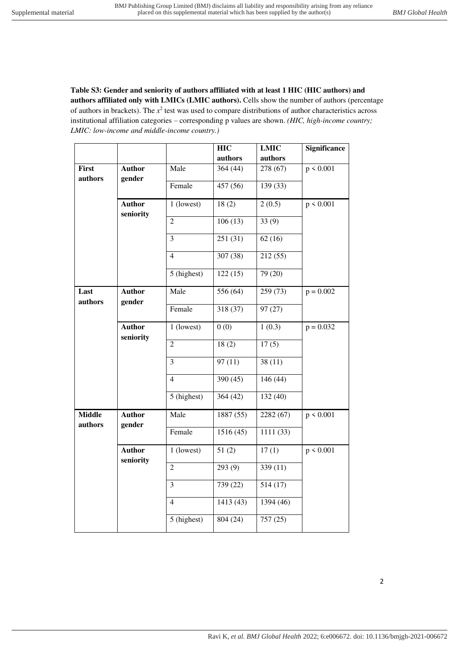**Table S3: Gender and seniority of authors affiliated with at least 1 HIC (HIC authors) and authors affiliated only with LMICs (LMIC authors).** Cells show the number of authors (percentage of authors in brackets). The  $x^2$  test was used to compare distributions of author characteristics across institutional affiliation categories – corresponding p values are shown. *(HIC, high-income country; LMIC: low-income and middle-income country.)*

|                          |                            |                            | <b>HIC</b> | <b>LMIC</b> | <b>Significance</b> |
|--------------------------|----------------------------|----------------------------|------------|-------------|---------------------|
|                          |                            |                            | authors    | authors     |                     |
| First<br>authors         | <b>Author</b><br>gender    | Male                       | 364 (44)   | 278 (67)    | p < 0.001           |
|                          |                            | Female                     | 457 (56)   | 139 (33)    |                     |
|                          | <b>Author</b><br>seniority | 1 (lowest)                 | 18(2)      | 2(0.5)      | p < 0.001           |
|                          |                            | $\overline{2}$             | 106(13)    | 33(9)       |                     |
|                          |                            | 3                          | 251(31)    | 62(16)      |                     |
|                          |                            | $\overline{4}$             | 307 (38)   | 212 (55)    |                     |
|                          |                            | 5 (highest)                | 122(15)    | 79(20)      |                     |
| Last<br>authors          | <b>Author</b><br>gender    | Male                       | 556 (64)   | 259(73)     | $p = 0.002$         |
|                          |                            | Female                     | 318 (37)   | 97 (27)     |                     |
|                          | <b>Author</b><br>seniority | 1 (lowest)                 | 0(0)       | 1(0.3)      | $p = 0.032$         |
|                          |                            | $\overline{2}$             | 18(2)      | 17(5)       |                     |
|                          |                            | 3                          | 97(11)     | 38(11)      |                     |
|                          |                            | $\overline{4}$             | 390(45)    | 146(44)     |                     |
|                          |                            | 5 (highest)                | 364(42)    | 132(40)     |                     |
| <b>Middle</b><br>authors | <b>Author</b><br>gender    | Male                       | 1887 (55)  | 2282 (67)   | p < 0.001           |
|                          |                            | $\overline{\text{Female}}$ | 1516(45)   | 1111 (33)   |                     |
|                          | <b>Author</b><br>seniority | 1 (lowest)                 | 51(2)      | 17(1)       | p < 0.001           |
|                          |                            | $\mathfrak{2}$             | 293(9)     | 339 (11)    |                     |
|                          |                            | 3                          | 739 (22)   | 514(17)     |                     |
|                          |                            | $\overline{4}$             | 1413 (43)  | 1394 (46)   |                     |
|                          |                            | 5 (highest)                | 804 (24)   | 757 (25)    |                     |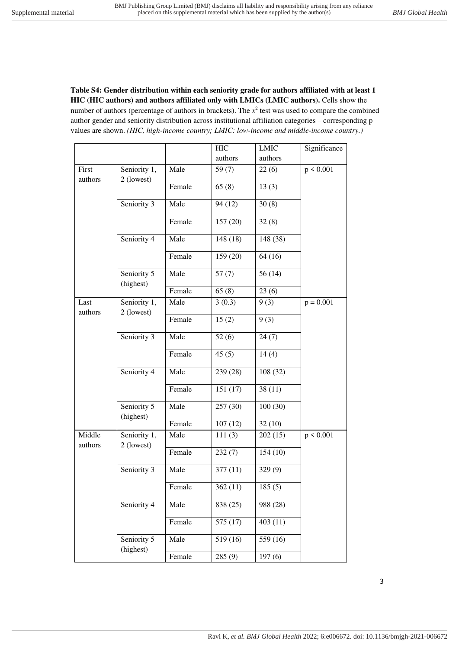**Table S4: Gender distribution within each seniority grade for authors affiliated with at least 1 HIC (HIC authors) and authors affiliated only with LMICs (LMIC authors).** Cells show the number of authors (percentage of authors in brackets). The  $x^2$  test was used to compare the combined author gender and seniority distribution across institutional affiliation categories – corresponding p values are shown. *(HIC, high-income country; LMIC: low-income and middle-income country.)*

|                   |                            |        | <b>HIC</b> | <b>LMIC</b> | Significance |
|-------------------|----------------------------|--------|------------|-------------|--------------|
|                   |                            |        | authors    | authors     |              |
| First<br>authors  | Seniority 1,<br>2 (lowest) | Male   | 59 $(7)$   | 22(6)       | p < 0.001    |
|                   |                            | Female | 65(8)      | 13(3)       |              |
|                   | Seniority 3                | Male   | 94(12)     | 30(8)       |              |
|                   |                            | Female | 157(20)    | 32(8)       |              |
|                   | Seniority 4                | Male   | 148 (18)   | 148 (38)    |              |
|                   |                            | Female | 159 (20)   | 64(16)      |              |
|                   | Seniority 5<br>(highest)   | Male   | 57(7)      | 56(14)      |              |
|                   |                            | Female | 65(8)      | 23(6)       |              |
| Last<br>authors   | Seniority 1,<br>2 (lowest) | Male   | 3(0.3)     | 9(3)        | $p = 0.001$  |
|                   |                            | Female | 15(2)      | 9(3)        |              |
|                   | Seniority 3                | Male   | 52(6)      | 24(7)       |              |
|                   |                            | Female | 45(5)      | 14(4)       |              |
|                   | Seniority 4                | Male   | 239 (28)   | 108 (32)    |              |
|                   |                            | Female | 151(17)    | 38(11)      |              |
|                   | Seniority 5<br>(highest)   | Male   | 257 (30)   | 100(30)     |              |
|                   |                            | Female | 107(12)    | 32(10)      |              |
| Middle<br>authors | Seniority 1,<br>2 (lowest) | Male   | 111(3)     | 202(15)     | p < 0.001    |
|                   |                            | Female | 232(7)     | 154(10)     |              |
|                   | Seniority 3                | Male   | 377(11)    | 329 (9)     |              |
|                   |                            | Female | 362(11)    | 185(5)      |              |
|                   | Seniority 4                | Male   | 838 (25)   | 988 (28)    |              |
|                   |                            | Female | 575 (17)   | 403(11)     |              |
|                   | Seniority 5<br>(highest)   | Male   | 519 (16)   | 559 (16)    |              |
|                   |                            | Female | 285(9)     | 197(6)      |              |

3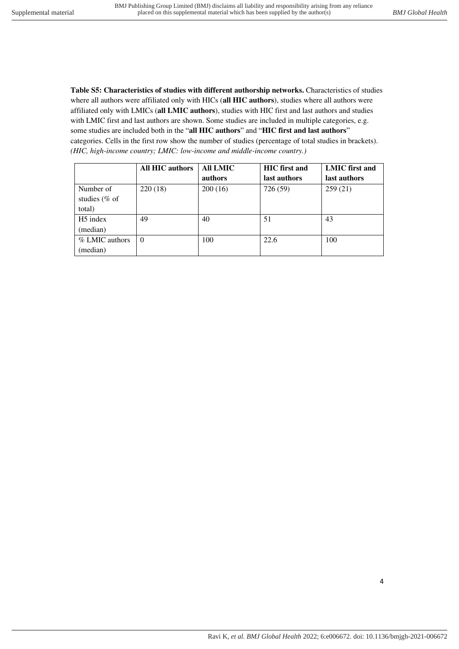**Table S5: Characteristics of studies with different authorship networks.** Characteristics of studies where all authors were affiliated only with HICs (**all HIC authors**), studies where all authors were affiliated only with LMICs (**all LMIC authors**), studies with HIC first and last authors and studies with LMIC first and last authors are shown. Some studies are included in multiple categories, e.g. some studies are included both in the "**all HIC authors**" and "**HIC first and last authors**" categories. Cells in the first row show the number of studies (percentage of total studies in brackets). *(HIC, high-income country; LMIC: low-income and middle-income country.)*

|                      | <b>All HIC authors</b> | All LMIC | <b>HIC</b> first and | LMIC first and |
|----------------------|------------------------|----------|----------------------|----------------|
|                      |                        | authors  | last authors         | last authors   |
| Number of            | 220(18)                | 200(16)  | 726 (59)             | 259(21)        |
| studies ( $%$ of     |                        |          |                      |                |
| total)               |                        |          |                      |                |
| H <sub>5</sub> index | 49                     | 40       | 51                   | 43             |
| (median)             |                        |          |                      |                |
| % LMIC authors       | $\Omega$               | 100      | 22.6                 | 100            |
| (median)             |                        |          |                      |                |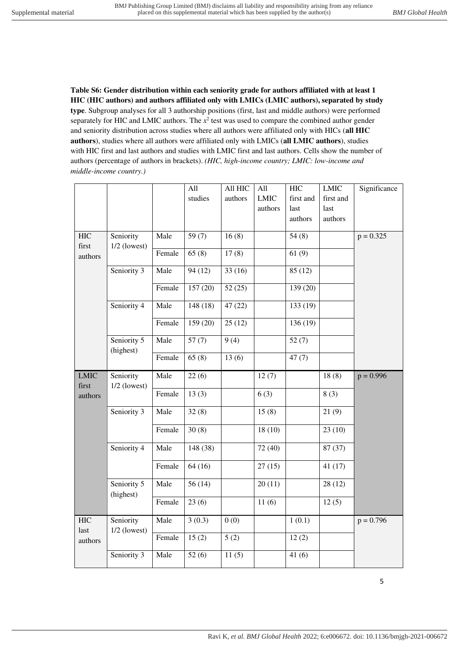**Table S6: Gender distribution within each seniority grade for authors affiliated with at least 1 HIC (HIC authors) and authors affiliated only with LMICs (LMIC authors), separated by study type**. Subgroup analyses for all 3 authorship positions (first, last and middle authors) were performed separately for HIC and LMIC authors. The  $x^2$  test was used to compare the combined author gender and seniority distribution across studies where all authors were affiliated only with HICs (**all HIC authors**), studies where all authors were affiliated only with LMICs (**all LMIC authors**), studies with HIC first and last authors and studies with LMIC first and last authors. Cells show the number of authors (percentage of authors in brackets). *(HIC, high-income country; LMIC: low-income and middle-income country.)*

|                      |                             |        | All      | All HIC | All         | <b>HIC</b>                                                                                                                                                                                                                                                                                                                                                                                                                                                                                                                                                                                                                    | <b>LMIC</b> | Significance |
|----------------------|-----------------------------|--------|----------|---------|-------------|-------------------------------------------------------------------------------------------------------------------------------------------------------------------------------------------------------------------------------------------------------------------------------------------------------------------------------------------------------------------------------------------------------------------------------------------------------------------------------------------------------------------------------------------------------------------------------------------------------------------------------|-------------|--------------|
|                      |                             |        | studies  | authors | <b>LMIC</b> | first and                                                                                                                                                                                                                                                                                                                                                                                                                                                                                                                                                                                                                     | first and   |              |
|                      |                             |        |          |         | authors     | $\operatorname*{last}% \left( X\right) \equiv\operatorname*{last}% \left( X\right) \equiv\operatorname*{last}% \left( X\right) \equiv\operatorname*{last}% \left( X\right) \equiv\operatorname*{last}% \left( X\right) \equiv\operatorname*{last}% \left( X\right) \equiv\operatorname*{last}% \left( X\right) \equiv\operatorname*{last}% \left( X\right) \equiv\operatorname*{last}% \left( X\right) \equiv\operatorname*{last}% \left( X\right) \equiv\operatorname*{last}% \left( X\right) \equiv\operatorname*{last}% \left( X\right) \equiv\operatorname*{last}% \left( X\right) \equiv\operatorname*{last}% \left( X\$ | last        |              |
|                      |                             |        |          |         |             | authors                                                                                                                                                                                                                                                                                                                                                                                                                                                                                                                                                                                                                       | authors     |              |
|                      |                             |        |          |         |             |                                                                                                                                                                                                                                                                                                                                                                                                                                                                                                                                                                                                                               |             |              |
| <b>HIC</b>           | Seniority                   | Male   | 59 $(7)$ | 16(8)   |             | 54(8)                                                                                                                                                                                                                                                                                                                                                                                                                                                                                                                                                                                                                         |             | $p = 0.325$  |
| first                | $1/2$ (lowest)              | Female | 65(8)    | 17(8)   |             | 61(9)                                                                                                                                                                                                                                                                                                                                                                                                                                                                                                                                                                                                                         |             |              |
| authors              |                             |        |          |         |             |                                                                                                                                                                                                                                                                                                                                                                                                                                                                                                                                                                                                                               |             |              |
|                      | Seniority 3                 | Male   | 94(12)   | 33(16)  |             | 85(12)                                                                                                                                                                                                                                                                                                                                                                                                                                                                                                                                                                                                                        |             |              |
|                      |                             | Female | 157(20)  | 52(25)  |             | 139 (20)                                                                                                                                                                                                                                                                                                                                                                                                                                                                                                                                                                                                                      |             |              |
|                      | Seniority 4                 | Male   | 148(18)  | 47(22)  |             | 133 (19)                                                                                                                                                                                                                                                                                                                                                                                                                                                                                                                                                                                                                      |             |              |
|                      |                             | Female | 159(20)  | 25(12)  |             | 136 (19)                                                                                                                                                                                                                                                                                                                                                                                                                                                                                                                                                                                                                      |             |              |
|                      | Seniority 5<br>(highest)    | Male   | 57(7)    | 9(4)    |             | 52(7)                                                                                                                                                                                                                                                                                                                                                                                                                                                                                                                                                                                                                         |             |              |
|                      |                             | Female | 65(8)    | 13(6)   |             | 47(7)                                                                                                                                                                                                                                                                                                                                                                                                                                                                                                                                                                                                                         |             |              |
| <b>LMIC</b><br>first | Seniority<br>$1/2$ (lowest) | Male   | 22(6)    |         | 12(7)       |                                                                                                                                                                                                                                                                                                                                                                                                                                                                                                                                                                                                                               | 18(8)       | $p = 0.996$  |
| authors              |                             | Female | 13(3)    |         | 6(3)        |                                                                                                                                                                                                                                                                                                                                                                                                                                                                                                                                                                                                                               | 8(3)        |              |
|                      | Seniority 3                 | Male   | 32(8)    |         | 15(8)       |                                                                                                                                                                                                                                                                                                                                                                                                                                                                                                                                                                                                                               | 21(9)       |              |
|                      |                             | Female | 30(8)    |         | 18(10)      |                                                                                                                                                                                                                                                                                                                                                                                                                                                                                                                                                                                                                               | 23(10)      |              |
|                      | Seniority 4                 | Male   | 148 (38) |         | 72 (40)     |                                                                                                                                                                                                                                                                                                                                                                                                                                                                                                                                                                                                                               | 87 (37)     |              |
|                      |                             | Female | 64(16)   |         | 27(15)      |                                                                                                                                                                                                                                                                                                                                                                                                                                                                                                                                                                                                                               | 41(17)      |              |
|                      | Seniority 5<br>(highest)    | Male   | 56(14)   |         | 20(11)      |                                                                                                                                                                                                                                                                                                                                                                                                                                                                                                                                                                                                                               | 28(12)      |              |
|                      |                             | Female | 23(6)    |         | 11(6)       |                                                                                                                                                                                                                                                                                                                                                                                                                                                                                                                                                                                                                               | 12(5)       |              |
| <b>HIC</b><br>last   | Seniority<br>$1/2$ (lowest) | Male   | 3(0.3)   | 0(0)    |             | 1(0.1)                                                                                                                                                                                                                                                                                                                                                                                                                                                                                                                                                                                                                        |             | $p = 0.796$  |
| authors              |                             | Female | 15(2)    | 5(2)    |             | 12(2)                                                                                                                                                                                                                                                                                                                                                                                                                                                                                                                                                                                                                         |             |              |
|                      | Seniority 3                 | Male   | 52(6)    | 11(5)   |             | 41(6)                                                                                                                                                                                                                                                                                                                                                                                                                                                                                                                                                                                                                         |             |              |

5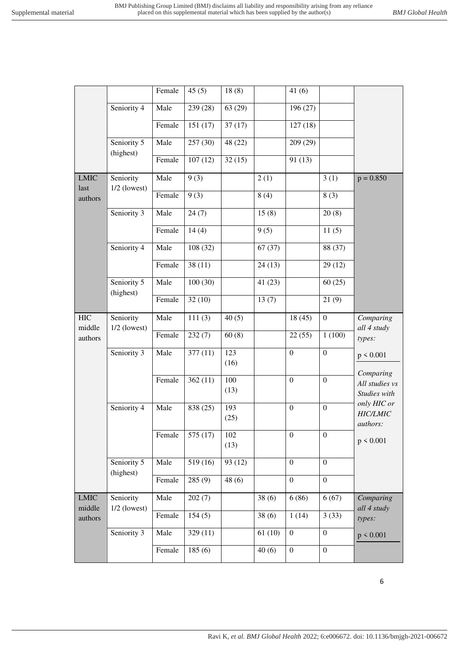|                      |                             | Female | 45(5)    | 18(8)       |        | 41(6)            |                  |                                |
|----------------------|-----------------------------|--------|----------|-------------|--------|------------------|------------------|--------------------------------|
|                      | Seniority 4                 | Male   | 239 (28) | 63(29)      |        | 196 (27)         |                  |                                |
|                      |                             | Female | 151(17)  | 37(17)      |        | 127(18)          |                  |                                |
|                      | Seniority 5<br>(highest)    | Male   | 257(30)  | 48 (22)     |        | 209 (29)         |                  |                                |
|                      |                             | Female | 107(12)  | 32(15)      |        | 91(13)           |                  |                                |
| <b>LMIC</b><br>last  | Seniority<br>$1/2$ (lowest) | Male   | 9(3)     |             | 2(1)   |                  | 3(1)             | $p = 0.850$                    |
| authors              |                             | Female | 9(3)     |             | 8(4)   |                  | 8(3)             |                                |
|                      | Seniority 3                 | Male   | 24(7)    |             | 15(8)  |                  | 20(8)            |                                |
|                      |                             | Female | 14(4)    |             | 9(5)   |                  | 11(5)            |                                |
|                      | Seniority 4                 | Male   | 108(32)  |             | 67(37) |                  | 88 (37)          |                                |
|                      |                             | Female | 38(11)   |             | 24(13) |                  | 29(12)           |                                |
|                      | Seniority 5<br>(highest)    | Male   | 100(30)  |             | 41(23) |                  | 60(25)           |                                |
|                      |                             | Female | 32(10)   |             | 13(7)  |                  | 21(9)            |                                |
| <b>HIC</b><br>middle | Seniority                   | Male   | 111(3)   | 40(5)       |        | 18(45)           | $\overline{0}$   | Comparing<br>all 4 study       |
| authors              | $1/2$ (lowest)              | Female | 232(7)   | 60(8)       |        | 22(55)           | 1(100)           | types:                         |
|                      | Seniority 3                 | Male   | 377(11)  | 123<br>(16) |        | $\mathbf{0}$     | $\boldsymbol{0}$ | p < 0.001                      |
|                      |                             | Female |          | 100         |        |                  |                  | Comparing                      |
|                      |                             |        | 362(11)  | (13)        |        | $\mathbf{0}$     | $\overline{0}$   | All studies vs<br>Studies with |
|                      | Seniority 4                 | Male   | 838 (25) | 193         |        | $\boldsymbol{0}$ | $\boldsymbol{0}$ | only HIC or<br><b>HIC/LMIC</b> |
|                      |                             |        |          | (25)        |        |                  |                  | authors:                       |
|                      |                             | Female | 575 (17) | 102<br>(13) |        | $\boldsymbol{0}$ | $\boldsymbol{0}$ | p < 0.001                      |
|                      | Seniority 5                 | Male   | 519 (16) | 93 (12)     |        | $\boldsymbol{0}$ | $\boldsymbol{0}$ |                                |
|                      | (highest)                   | Female | 285(9)   | 48(6)       |        | $\boldsymbol{0}$ | $\overline{0}$   |                                |
| <b>LMIC</b>          | Seniority                   | Male   | 202(7)   |             | 38(6)  | 6(86)            | 6(67)            | Comparing                      |
| middle<br>authors    | $1/2$ (lowest)              | Female | 154(5)   |             | 38(6)  | 1(14)            | 3(33)            | all 4 study<br>types:          |
|                      | Seniority 3                 | Male   | 329(11)  |             | 61(10) | $\boldsymbol{0}$ | $\boldsymbol{0}$ | p < 0.001                      |
|                      |                             | Female | 185(6)   |             | 40(6)  | $\boldsymbol{0}$ | $\boldsymbol{0}$ |                                |
|                      |                             |        |          |             |        |                  |                  |                                |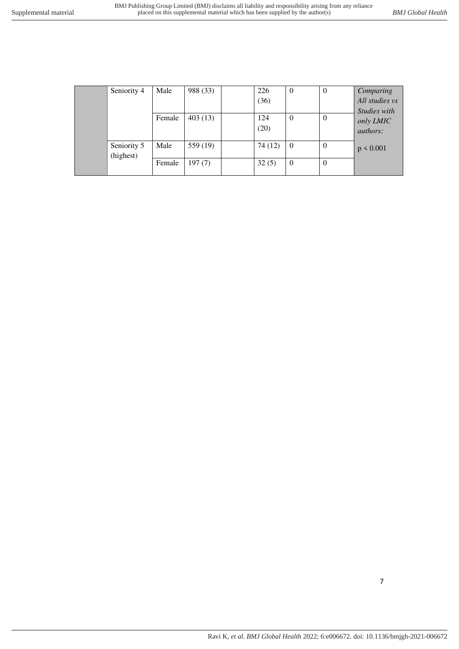| Seniority 4 | Male   | 988 (33) | 226    | $\theta$       | $\theta$ | Comparing       |
|-------------|--------|----------|--------|----------------|----------|-----------------|
|             |        |          | (36)   |                |          | All studies vs  |
|             |        |          |        |                |          | Studies with    |
|             | Female | 403(13)  | 124    | $\theta$       | $\Omega$ | only LMIC       |
|             |        |          | (20)   |                |          | <i>authors:</i> |
|             |        |          |        |                |          |                 |
| Seniority 5 | Male   | 559 (19) | 74(12) | $\overline{0}$ | $\Omega$ | $p \le 0.001$   |
| (highest)   |        |          |        |                |          |                 |
|             | Female | 197(7)   | 32(5)  | $\theta$       | $\theta$ |                 |
|             |        |          |        |                |          |                 |